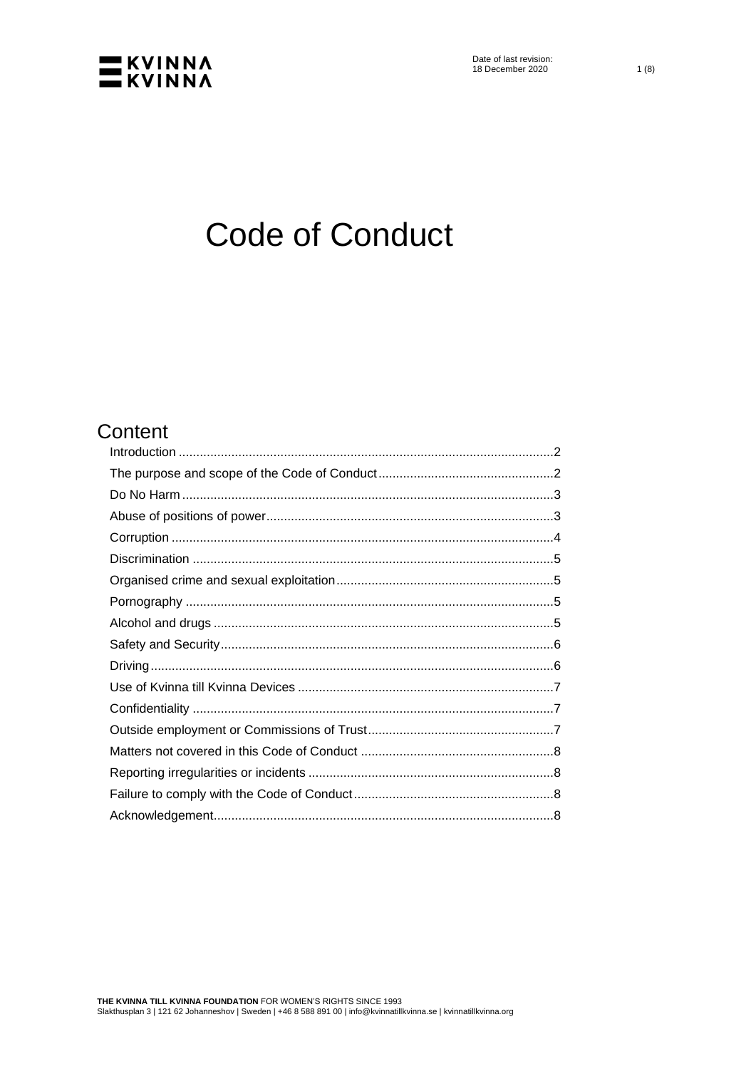

# **Code of Conduct**

# Content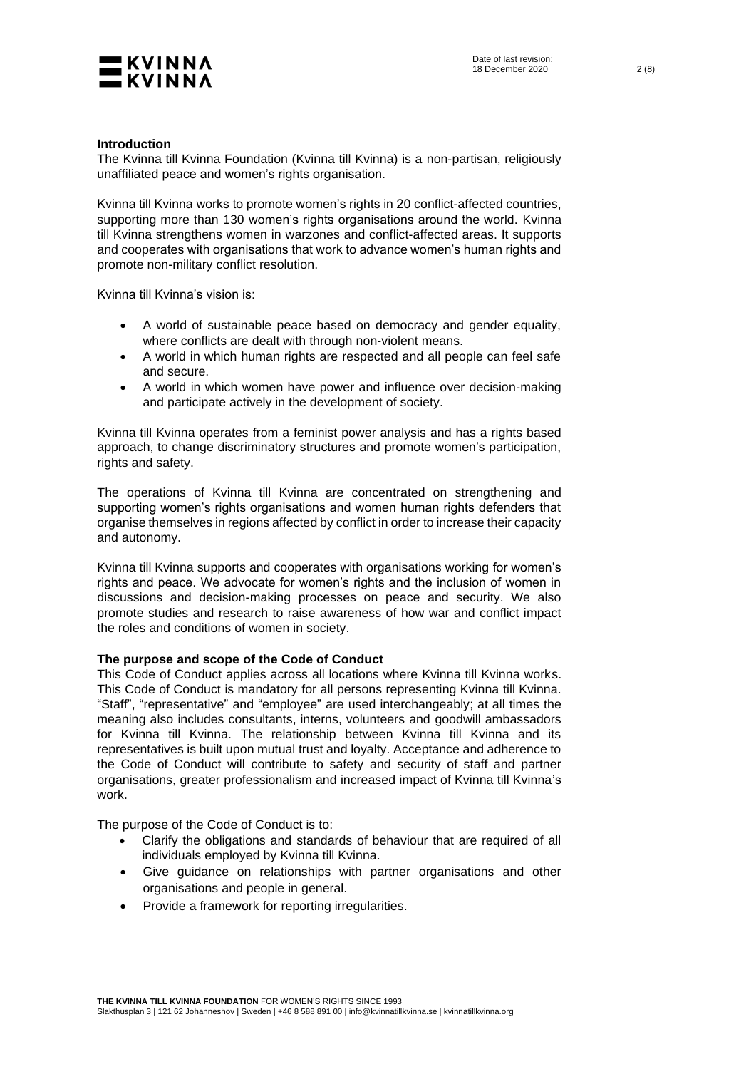

# <span id="page-1-0"></span>**Introduction**

The Kvinna till Kvinna Foundation (Kvinna till Kvinna) is a non-partisan, religiously unaffiliated peace and women's rights organisation.

Kvinna till Kvinna works to promote women's rights in 20 conflict-affected countries, supporting more than 130 women's rights organisations around the world. Kvinna till Kvinna strengthens women in warzones and conflict-affected areas. It supports and cooperates with organisations that work to advance women's human rights and promote non-military conflict resolution.

Kvinna till Kvinna's vision is:

- A world of sustainable peace based on democracy and gender equality, where conflicts are dealt with through non-violent means.
- A world in which human rights are respected and all people can feel safe and secure.
- A world in which women have power and influence over decision-making and participate actively in the development of society.

Kvinna till Kvinna operates from a feminist power analysis and has a rights based approach, to change discriminatory structures and promote women's participation, rights and safety.

The operations of Kvinna till Kvinna are concentrated on strengthening and supporting women's rights organisations and women human rights defenders that organise themselves in regions affected by conflict in order to increase their capacity and autonomy.

Kvinna till Kvinna supports and cooperates with organisations working for women's rights and peace. We advocate for women's rights and the inclusion of women in discussions and decision-making processes on peace and security. We also promote studies and research to raise awareness of how war and conflict impact the roles and conditions of women in society.

# <span id="page-1-1"></span>**The purpose and scope of the Code of Conduct**

This Code of Conduct applies across all locations where Kvinna till Kvinna works. This Code of Conduct is mandatory for all persons representing Kvinna till Kvinna. "Staff", "representative" and "employee" are used interchangeably; at all times the meaning also includes consultants, interns, volunteers and goodwill ambassadors for Kvinna till Kvinna. The relationship between Kvinna till Kvinna and its representatives is built upon mutual trust and loyalty. Acceptance and adherence to the Code of Conduct will contribute to safety and security of staff and partner organisations, greater professionalism and increased impact of Kvinna till Kvinna's work.

The purpose of the Code of Conduct is to:

- Clarify the obligations and standards of behaviour that are required of all individuals employed by Kvinna till Kvinna.
- Give guidance on relationships with partner organisations and other organisations and people in general.
- Provide a framework for reporting irregularities.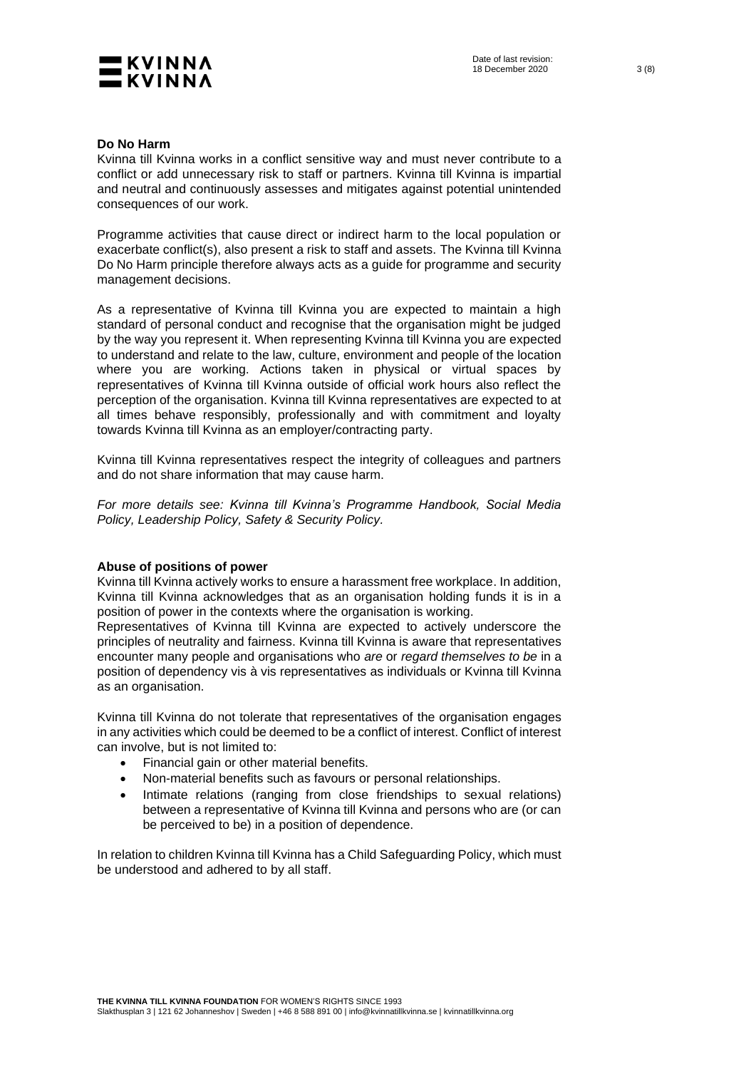

# <span id="page-2-0"></span>**Do No Harm**

Kvinna till Kvinna works in a conflict sensitive way and must never contribute to a conflict or add unnecessary risk to staff or partners. Kvinna till Kvinna is impartial and neutral and continuously assesses and mitigates against potential unintended consequences of our work.

Programme activities that cause direct or indirect harm to the local population or exacerbate conflict(s), also present a risk to staff and assets. The Kvinna till Kvinna Do No Harm principle therefore always acts as a guide for programme and security management decisions.

As a representative of Kvinna till Kvinna you are expected to maintain a high standard of personal conduct and recognise that the organisation might be judged by the way you represent it. When representing Kvinna till Kvinna you are expected to understand and relate to the law, culture, environment and people of the location where you are working. Actions taken in physical or virtual spaces by representatives of Kvinna till Kvinna outside of official work hours also reflect the perception of the organisation. Kvinna till Kvinna representatives are expected to at all times behave responsibly, professionally and with commitment and loyalty towards Kvinna till Kvinna as an employer/contracting party.

Kvinna till Kvinna representatives respect the integrity of colleagues and partners and do not share information that may cause harm.

*For more details see: Kvinna till Kvinna's Programme Handbook, Social Media Policy, Leadership Policy, Safety & Security Policy.*

# <span id="page-2-1"></span>**Abuse of positions of power**

Kvinna till Kvinna actively works to ensure a harassment free workplace. In addition, Kvinna till Kvinna acknowledges that as an organisation holding funds it is in a position of power in the contexts where the organisation is working.

Representatives of Kvinna till Kvinna are expected to actively underscore the principles of neutrality and fairness. Kvinna till Kvinna is aware that representatives encounter many people and organisations who *are* or *regard themselves to be* in a position of dependency vis à vis representatives as individuals or Kvinna till Kvinna as an organisation.

Kvinna till Kvinna do not tolerate that representatives of the organisation engages in any activities which could be deemed to be a conflict of interest. Conflict of interest can involve, but is not limited to:

- Financial gain or other material benefits.
- Non-material benefits such as favours or personal relationships.
- Intimate relations (ranging from close friendships to sexual relations) between a representative of Kvinna till Kvinna and persons who are (or can be perceived to be) in a position of dependence.

In relation to children Kvinna till Kvinna has a Child Safeguarding Policy, which must be understood and adhered to by all staff.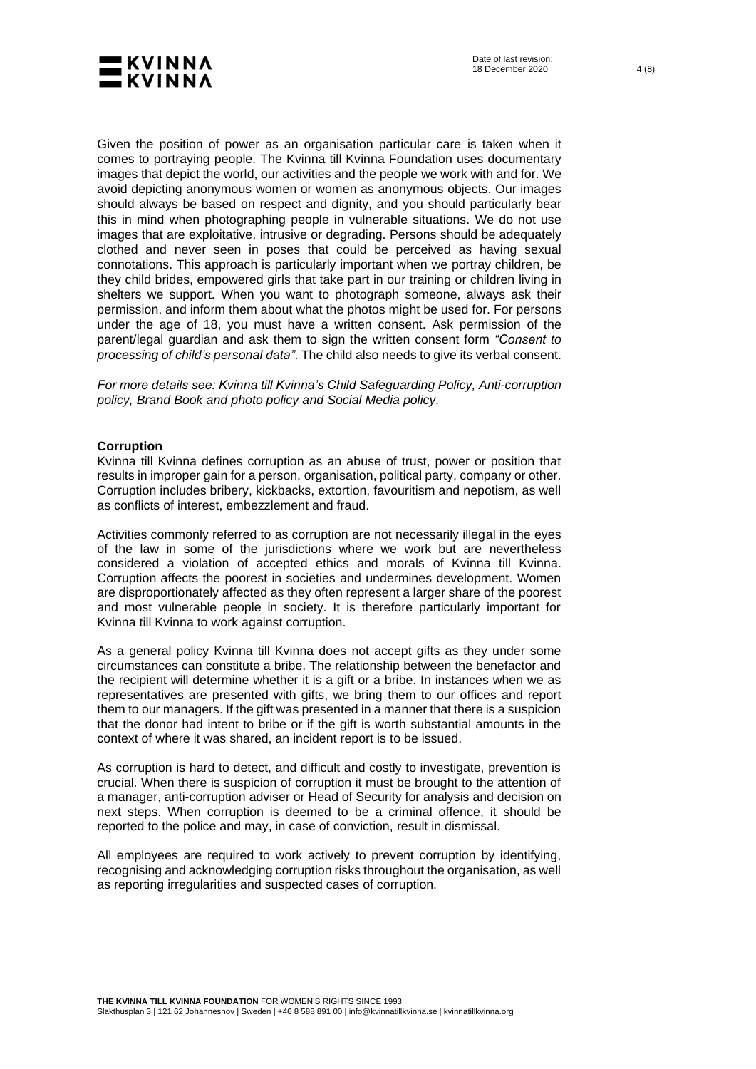

Given the position of power as an organisation particular care is taken when it comes to portraying people. The Kvinna till Kvinna Foundation uses documentary images that depict the world, our activities and the people we work with and for. We avoid depicting anonymous women or women as anonymous objects. Our images should always be based on respect and dignity, and you should particularly bear this in mind when photographing people in vulnerable situations. We do not use images that are exploitative, intrusive or degrading. Persons should be adequately clothed and never seen in poses that could be perceived as having sexual connotations. This approach is particularly important when we portray children, be they child brides, empowered girls that take part in our training or children living in shelters we support. When you want to photograph someone, always ask their permission, and inform them about what the photos might be used for. For persons under the age of 18, you must have a written consent. Ask permission of the parent/legal guardian and ask them to sign the written consent form *"Consent to processing of child's personal data"*. The child also needs to give its verbal consent.

*For more details see: Kvinna till Kvinna's Child Safeguarding Policy, Anti-corruption policy, Brand Book and photo policy and Social Media policy.*

# <span id="page-3-0"></span>**Corruption**

Kvinna till Kvinna defines corruption as an abuse of trust, power or position that results in improper gain for a person, organisation, political party, company or other. Corruption includes bribery, kickbacks, extortion, favouritism and nepotism, as well as conflicts of interest, embezzlement and fraud.

Activities commonly referred to as corruption are not necessarily illegal in the eyes of the law in some of the jurisdictions where we work but are nevertheless considered a violation of accepted ethics and morals of Kvinna till Kvinna. Corruption affects the poorest in societies and undermines development. Women are disproportionately affected as they often represent a larger share of the poorest and most vulnerable people in society. It is therefore particularly important for Kvinna till Kvinna to work against corruption.

As a general policy Kvinna till Kvinna does not accept gifts as they under some circumstances can constitute a bribe. The relationship between the benefactor and the recipient will determine whether it is a gift or a bribe. In instances when we as representatives are presented with gifts, we bring them to our offices and report them to our managers. If the gift was presented in a manner that there is a suspicion that the donor had intent to bribe or if the gift is worth substantial amounts in the context of where it was shared, an incident report is to be issued.

As corruption is hard to detect, and difficult and costly to investigate, prevention is crucial. When there is suspicion of corruption it must be brought to the attention of a manager, anti-corruption adviser or Head of Security for analysis and decision on next steps. When corruption is deemed to be a criminal offence, it should be reported to the police and may, in case of conviction, result in dismissal.

All employees are required to work actively to prevent corruption by identifying, recognising and acknowledging corruption risks throughout the organisation, as well as reporting irregularities and suspected cases of corruption.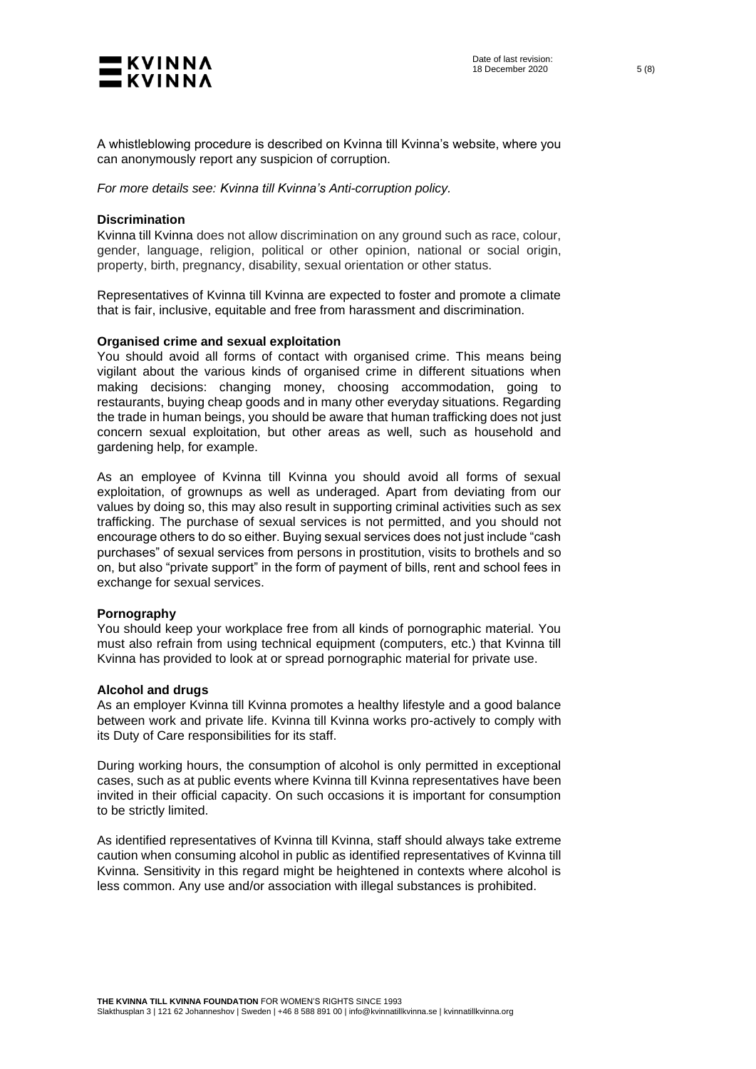

A whistleblowing procedure is described on Kvinna till Kvinna's website, where you can anonymously report any suspicion of corruption.

<span id="page-4-0"></span>*For more details see: Kvinna till Kvinna's Anti-corruption policy.*

#### **Discrimination**

Kvinna till Kvinna does not allow discrimination on any ground such as race, colour, gender, language, religion, political or other opinion, national or social origin, property, birth, pregnancy, disability, sexual orientation or other status.

Representatives of Kvinna till Kvinna are expected to foster and promote a climate that is fair, inclusive, equitable and free from harassment and discrimination.

#### <span id="page-4-1"></span>**Organised crime and sexual exploitation**

You should avoid all forms of contact with organised crime. This means being vigilant about the various kinds of organised crime in different situations when making decisions: changing money, choosing accommodation, going to restaurants, buying cheap goods and in many other everyday situations. Regarding the trade in human beings, you should be aware that human trafficking does not just concern sexual exploitation, but other areas as well, such as household and gardening help, for example.

As an employee of Kvinna till Kvinna you should avoid all forms of sexual exploitation, of grownups as well as underaged. Apart from deviating from our values by doing so, this may also result in supporting criminal activities such as sex trafficking. The purchase of sexual services is not permitted, and you should not encourage others to do so either. Buying sexual services does not just include "cash purchases" of sexual services from persons in prostitution, visits to brothels and so on, but also "private support" in the form of payment of bills, rent and school fees in exchange for sexual services.

#### <span id="page-4-2"></span>**Pornography**

You should keep your workplace free from all kinds of pornographic material. You must also refrain from using technical equipment (computers, etc.) that Kvinna till Kvinna has provided to look at or spread pornographic material for private use.

#### <span id="page-4-3"></span>**Alcohol and drugs**

As an employer Kvinna till Kvinna promotes a healthy lifestyle and a good balance between work and private life. Kvinna till Kvinna works pro-actively to comply with its Duty of Care responsibilities for its staff.

During working hours, the consumption of alcohol is only permitted in exceptional cases, such as at public events where Kvinna till Kvinna representatives have been invited in their official capacity. On such occasions it is important for consumption to be strictly limited.

As identified representatives of Kvinna till Kvinna, staff should always take extreme caution when consuming alcohol in public as identified representatives of Kvinna till Kvinna. Sensitivity in this regard might be heightened in contexts where alcohol is less common. Any use and/or association with illegal substances is prohibited.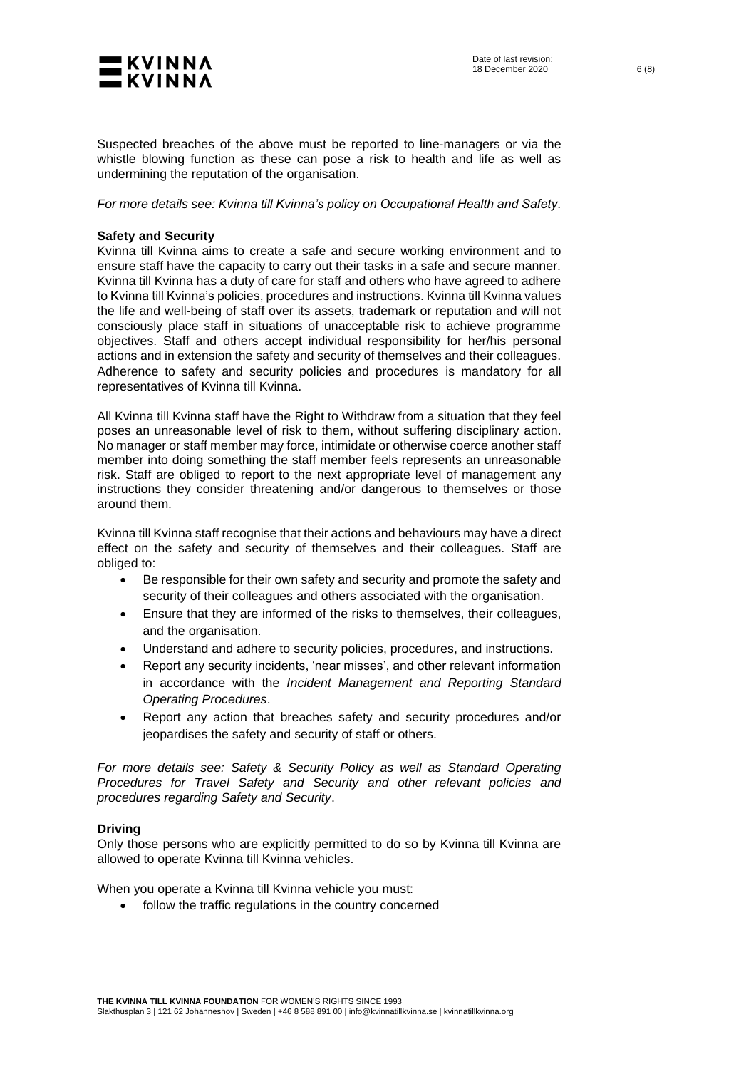

Suspected breaches of the above must be reported to line-managers or via the whistle blowing function as these can pose a risk to health and life as well as undermining the reputation of the organisation.

<span id="page-5-0"></span>*For more details see: Kvinna till Kvinna's policy on Occupational Health and Safety.*

### **Safety and Security**

Kvinna till Kvinna aims to create a safe and secure working environment and to ensure staff have the capacity to carry out their tasks in a safe and secure manner. Kvinna till Kvinna has a duty of care for staff and others who have agreed to adhere to Kvinna till Kvinna's policies, procedures and instructions. Kvinna till Kvinna values the life and well-being of staff over its assets, trademark or reputation and will not consciously place staff in situations of unacceptable risk to achieve programme objectives. Staff and others accept individual responsibility for her/his personal actions and in extension the safety and security of themselves and their colleagues. Adherence to safety and security policies and procedures is mandatory for all representatives of Kvinna till Kvinna.

All Kvinna till Kvinna staff have the Right to Withdraw from a situation that they feel poses an unreasonable level of risk to them, without suffering disciplinary action. No manager or staff member may force, intimidate or otherwise coerce another staff member into doing something the staff member feels represents an unreasonable risk. Staff are obliged to report to the next appropriate level of management any instructions they consider threatening and/or dangerous to themselves or those around them.

Kvinna till Kvinna staff recognise that their actions and behaviours may have a direct effect on the safety and security of themselves and their colleagues. Staff are obliged to:

- Be responsible for their own safety and security and promote the safety and security of their colleagues and others associated with the organisation.
- Ensure that they are informed of the risks to themselves, their colleagues, and the organisation.
- Understand and adhere to security policies, procedures, and instructions.
- Report any security incidents, 'near misses', and other relevant information in accordance with the *Incident Management and Reporting Standard Operating Procedures*.
- Report any action that breaches safety and security procedures and/or jeopardises the safety and security of staff or others.

*For more details see: Safety & Security Policy as well as Standard Operating Procedures for Travel Safety and Security and other relevant policies and procedures regarding Safety and Security*.

#### <span id="page-5-1"></span>**Driving**

Only those persons who are explicitly permitted to do so by Kvinna till Kvinna are allowed to operate Kvinna till Kvinna vehicles.

When you operate a Kvinna till Kvinna vehicle you must:

• follow the traffic regulations in the country concerned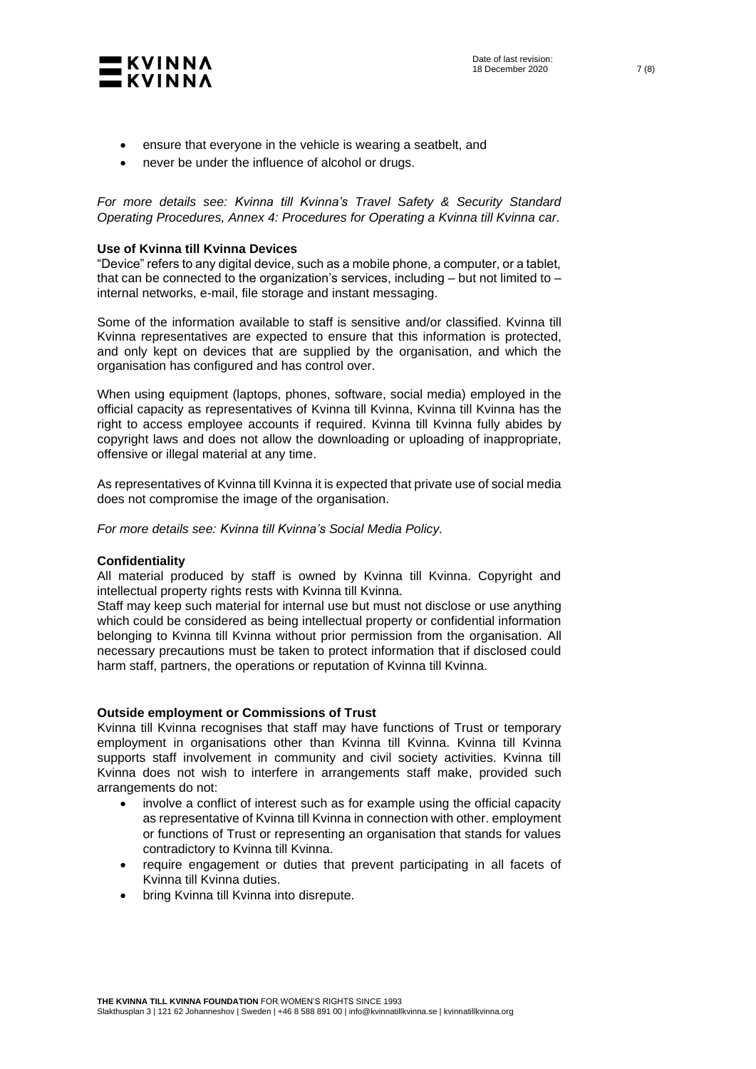

- ensure that everyone in the vehicle is wearing a seatbelt, and
- never be under the influence of alcohol or drugs.

*For more details see: Kvinna till Kvinna's Travel Safety & Security Standard Operating Procedures, Annex 4: Procedures for Operating a Kvinna till Kvinna car.*

# <span id="page-6-0"></span>**Use of Kvinna till Kvinna Devices**

"Device" refers to any digital device, such as a mobile phone, a computer, or a tablet, that can be connected to the organization's services, including  $-$  but not limited to  $$ internal networks, e-mail, file storage and instant messaging.

Some of the information available to staff is sensitive and/or classified. Kvinna till Kvinna representatives are expected to ensure that this information is protected, and only kept on devices that are supplied by the organisation, and which the organisation has configured and has control over.

When using equipment (laptops, phones, software, social media) employed in the official capacity as representatives of Kvinna till Kvinna, Kvinna till Kvinna has the right to access employee accounts if required. Kvinna till Kvinna fully abides by copyright laws and does not allow the downloading or uploading of inappropriate, offensive or illegal material at any time.

As representatives of Kvinna till Kvinna it is expected that private use of social media does not compromise the image of the organisation.

<span id="page-6-1"></span>*For more details see: Kvinna till Kvinna's Social Media Policy.* 

# **Confidentiality**

All material produced by staff is owned by Kvinna till Kvinna. Copyright and intellectual property rights rests with Kvinna till Kvinna.

Staff may keep such material for internal use but must not disclose or use anything which could be considered as being intellectual property or confidential information belonging to Kvinna till Kvinna without prior permission from the organisation. All necessary precautions must be taken to protect information that if disclosed could harm staff, partners, the operations or reputation of Kvinna till Kvinna.

#### <span id="page-6-2"></span>**Outside employment or Commissions of Trust**

Kvinna till Kvinna recognises that staff may have functions of Trust or temporary employment in organisations other than Kvinna till Kvinna. Kvinna till Kvinna supports staff involvement in community and civil society activities. Kvinna till Kvinna does not wish to interfere in arrangements staff make, provided such arrangements do not:

- involve a conflict of interest such as for example using the official capacity as representative of Kvinna till Kvinna in connection with other. employment or functions of Trust or representing an organisation that stands for values contradictory to Kvinna till Kvinna.
- require engagement or duties that prevent participating in all facets of Kvinna till Kvinna duties.
- bring Kvinna till Kvinna into disrepute.